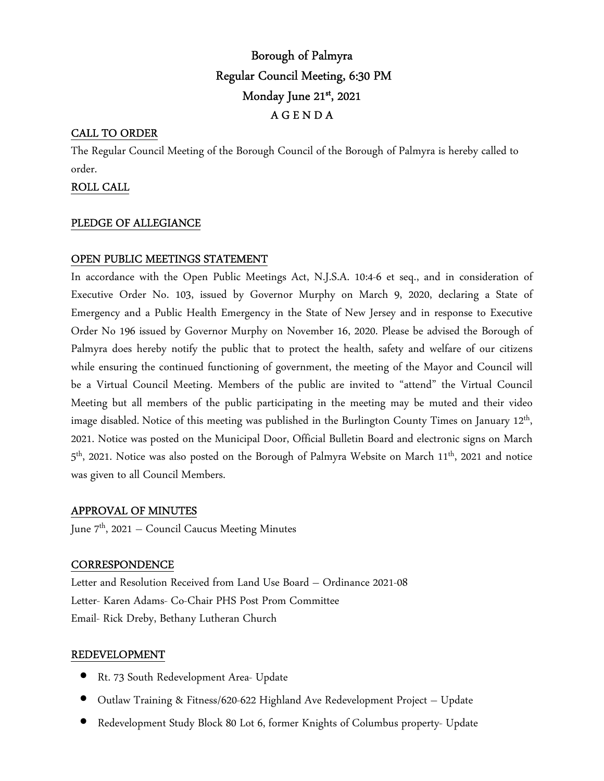# Borough of Palmyra Regular Council Meeting, 6:30 PM Monday June 21st , 2021 A G E N D A

# CALL TO ORDER

The Regular Council Meeting of the Borough Council of the Borough of Palmyra is hereby called to order.

## ROLL CALL

# PLEDGE OF ALLEGIANCE

# OPEN PUBLIC MEETINGS STATEMENT

In accordance with the Open Public Meetings Act, N.J.S.A. 10:4-6 et seq., and in consideration of Executive Order No. 103, issued by Governor Murphy on March 9, 2020, declaring a State of Emergency and a Public Health Emergency in the State of New Jersey and in response to Executive Order No 196 issued by Governor Murphy on November 16, 2020. Please be advised the Borough of Palmyra does hereby notify the public that to protect the health, safety and welfare of our citizens while ensuring the continued functioning of government, the meeting of the Mayor and Council will be a Virtual Council Meeting. Members of the public are invited to "attend" the Virtual Council Meeting but all members of the public participating in the meeting may be muted and their video image disabled. Notice of this meeting was published in the Burlington County Times on January 12<sup>th</sup>, 2021. Notice was posted on the Municipal Door, Official Bulletin Board and electronic signs on March 5<sup>th</sup>, 2021. Notice was also posted on the Borough of Palmyra Website on March 11<sup>th</sup>, 2021 and notice was given to all Council Members.

### APPROVAL OF MINUTES

June 7<sup>th</sup>, 2021 – Council Caucus Meeting Minutes

### **CORRESPONDENCE**

Letter and Resolution Received from Land Use Board – Ordinance 2021-08 Letter- Karen Adams- Co-Chair PHS Post Prom Committee Email- Rick Dreby, Bethany Lutheran Church

### REDEVELOPMENT

- Rt. 73 South Redevelopment Area- Update
- Outlaw Training & Fitness/620-622 Highland Ave Redevelopment Project Update
- Redevelopment Study Block 80 Lot 6, former Knights of Columbus property- Update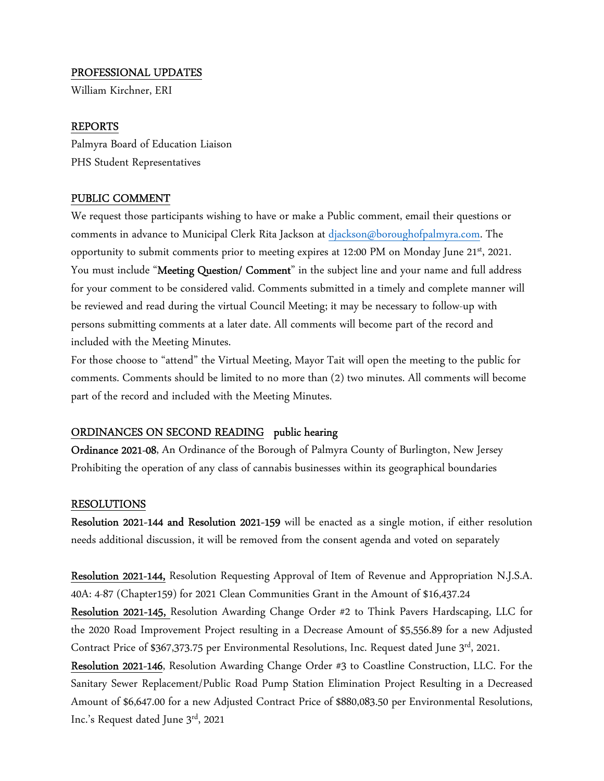#### PROFESSIONAL UPDATES

William Kirchner, ERI

#### REPORTS

Palmyra Board of Education Liaison PHS Student Representatives

### PUBLIC COMMENT

We request those participants wishing to have or make a Public comment, email their questions or comments in advance to Municipal Clerk Rita Jackson at djackson@boroughofpalmyra.com. The opportunity to submit comments prior to meeting expires at 12:00 PM on Monday June 21st, 2021. You must include "Meeting Question/ Comment" in the subject line and your name and full address for your comment to be considered valid. Comments submitted in a timely and complete manner will be reviewed and read during the virtual Council Meeting; it may be necessary to follow-up with persons submitting comments at a later date. All comments will become part of the record and included with the Meeting Minutes.

For those choose to "attend" the Virtual Meeting, Mayor Tait will open the meeting to the public for comments. Comments should be limited to no more than (2) two minutes. All comments will become part of the record and included with the Meeting Minutes.

#### ORDINANCES ON SECOND READING public hearing

Ordinance 2021-08, An Ordinance of the Borough of Palmyra County of Burlington, New Jersey Prohibiting the operation of any class of cannabis businesses within its geographical boundaries

#### RESOLUTIONS

Resolution 2021-144 and Resolution 2021-159 will be enacted as a single motion, if either resolution needs additional discussion, it will be removed from the consent agenda and voted on separately

Resolution 2021-144, Resolution Requesting Approval of Item of Revenue and Appropriation N.J.S.A. 40A: 4-87 (Chapter159) for 2021 Clean Communities Grant in the Amount of \$16,437.24

Resolution 2021-145, Resolution Awarding Change Order #2 to Think Pavers Hardscaping, LLC for the 2020 Road Improvement Project resulting in a Decrease Amount of \$5,556.89 for a new Adjusted Contract Price of \$367,373.75 per Environmental Resolutions, Inc. Request dated June  $3^{rd}$ , 2021.

Resolution 2021-146, Resolution Awarding Change Order #3 to Coastline Construction, LLC. For the Sanitary Sewer Replacement/Public Road Pump Station Elimination Project Resulting in a Decreased Amount of \$6,647.00 for a new Adjusted Contract Price of \$880,083.50 per Environmental Resolutions, Inc.'s Request dated June 3rd, 2021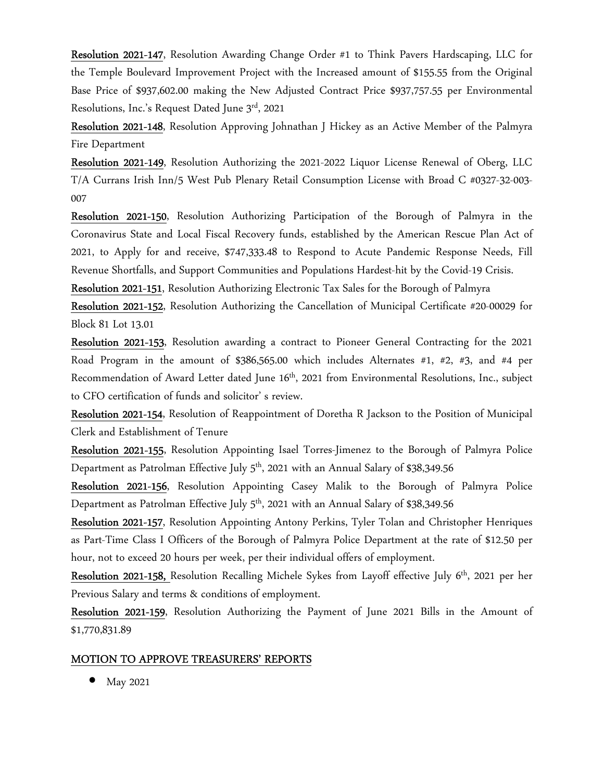Resolution 2021-147, Resolution Awarding Change Order #1 to Think Pavers Hardscaping, LLC for the Temple Boulevard Improvement Project with the Increased amount of \$155.55 from the Original Base Price of \$937,602.00 making the New Adjusted Contract Price \$937,757.55 per Environmental Resolutions, Inc.'s Request Dated June 3rd, 2021

Resolution 2021-148, Resolution Approving Johnathan J Hickey as an Active Member of the Palmyra Fire Department

Resolution 2021-149, Resolution Authorizing the 2021-2022 Liquor License Renewal of Oberg, LLC T/A Currans Irish Inn/5 West Pub Plenary Retail Consumption License with Broad C #0327-32-003- 007

Resolution 2021-150, Resolution Authorizing Participation of the Borough of Palmyra in the Coronavirus State and Local Fiscal Recovery funds, established by the American Rescue Plan Act of 2021, to Apply for and receive, \$747,333.48 to Respond to Acute Pandemic Response Needs, Fill Revenue Shortfalls, and Support Communities and Populations Hardest-hit by the Covid-19 Crisis.

Resolution 2021-151, Resolution Authorizing Electronic Tax Sales for the Borough of Palmyra

Resolution 2021-152, Resolution Authorizing the Cancellation of Municipal Certificate #20-00029 for Block 81 Lot 13.01

Resolution 2021-153, Resolution awarding a contract to Pioneer General Contracting for the 2021 Road Program in the amount of \$386,565.00 which includes Alternates #1, #2, #3, and #4 per Recommendation of Award Letter dated June 16<sup>th</sup>, 2021 from Environmental Resolutions, Inc., subject to CFO certification of funds and solicitor' s review.

Resolution 2021-154, Resolution of Reappointment of Doretha R Jackson to the Position of Municipal Clerk and Establishment of Tenure

Resolution 2021-155, Resolution Appointing Isael Torres-Jimenez to the Borough of Palmyra Police Department as Patrolman Effective July  $5<sup>th</sup>$ , 2021 with an Annual Salary of \$38,349.56

Resolution 2021-156, Resolution Appointing Casey Malik to the Borough of Palmyra Police Department as Patrolman Effective July 5<sup>th</sup>, 2021 with an Annual Salary of \$38,349.56

Resolution 2021-157, Resolution Appointing Antony Perkins, Tyler Tolan and Christopher Henriques as Part-Time Class I Officers of the Borough of Palmyra Police Department at the rate of \$12.50 per hour, not to exceed 20 hours per week, per their individual offers of employment.

Resolution 2021-158, Resolution Recalling Michele Sykes from Layoff effective July 6<sup>th</sup>, 2021 per her Previous Salary and terms & conditions of employment.

Resolution 2021-159, Resolution Authorizing the Payment of June 2021 Bills in the Amount of \$1,770,831.89

### MOTION TO APPROVE TREASURERS' REPORTS

• May 2021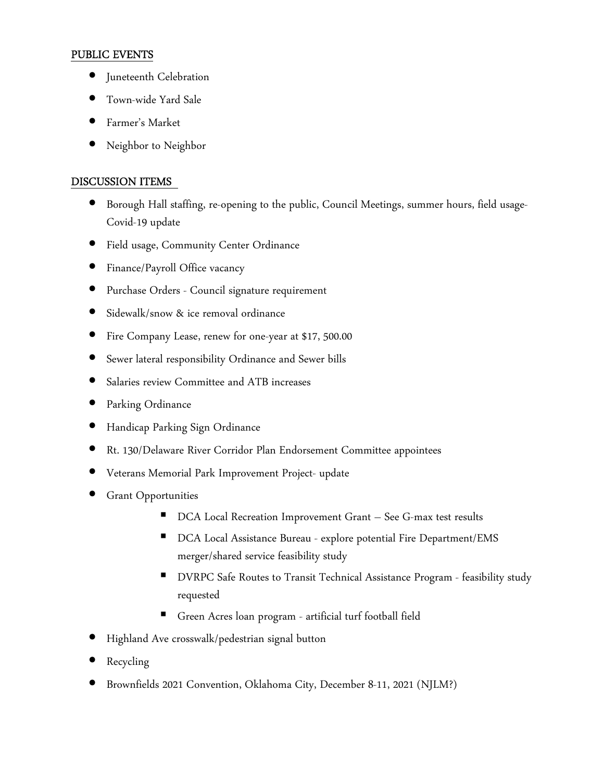# PUBLIC EVENTS

- Juneteenth Celebration
- Town-wide Yard Sale
- Farmer's Market
- Neighbor to Neighbor

# DISCUSSION ITEMS

- Borough Hall staffing, re-opening to the public, Council Meetings, summer hours, field usage-Covid-19 update
- Field usage, Community Center Ordinance
- Finance/Payroll Office vacancy
- Purchase Orders Council signature requirement
- Sidewalk/snow & ice removal ordinance
- Fire Company Lease, renew for one-year at \$17, 500.00
- Sewer lateral responsibility Ordinance and Sewer bills
- Salaries review Committee and ATB increases
- Parking Ordinance
- Handicap Parking Sign Ordinance
- Rt. 130/Delaware River Corridor Plan Endorsement Committee appointees
- Veterans Memorial Park Improvement Project- update
- **Grant Opportunities** 
	- DCA Local Recreation Improvement Grant See G-max test results
	- DCA Local Assistance Bureau explore potential Fire Department/EMS merger/shared service feasibility study
	- DVRPC Safe Routes to Transit Technical Assistance Program feasibility study requested
	- Green Acres loan program artificial turf football field
- Highland Ave crosswalk/pedestrian signal button
- **Recycling**
- Brownfields 2021 Convention, Oklahoma City, December 8-11, 2021 (NJLM?)